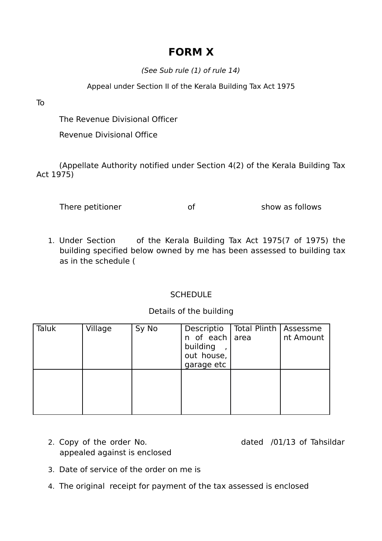## **FORM X**

(See Sub rule (1) of rule 14)

Appeal under Section II of the Kerala Building Tax Act 1975

To

The Revenue Divisional Officer

Revenue Divisional Office

(Appellate Authority notified under Section 4(2) of the Kerala Building Tax Act 1975)

There petitioner and show as follows

1. Under Section of the Kerala Building Tax Act 1975(7 of 1975) the building specified below owned by me has been assessed to building tax as in the schedule (

## **SCHEDULE**

## Details of the building

| Taluk | Village | Sy No | Descriptio<br>n of each area<br>building<br>out house,<br>garage etc | Total Plinth   Assessme | nt Amount |
|-------|---------|-------|----------------------------------------------------------------------|-------------------------|-----------|
|       |         |       |                                                                      |                         |           |

- 2. Copy of the order No. **dated** /01/13 of Tahsildar appealed against is enclosed
- 3. Date of service of the order on me is
- 4. The original receipt for payment of the tax assessed is enclosed